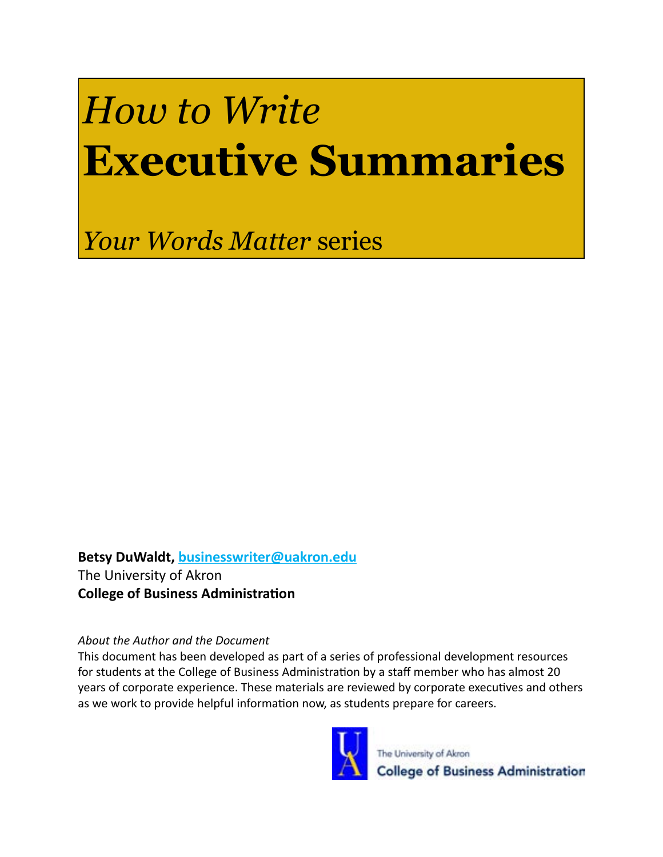# *How to Write* **Executive Summaries**

*Your Words Matter* series

**Betsy DuWaldt, [businesswriter@uakron.edu](mailto:businesswriter%40uakron.edu?subject=)** The University of Akron **College of Business Administration**

### *About the Author and the Document*

This document has been developed as part of a series of professional development resources for students at the College of Business Administration by a staff member who has almost 20 years of corporate experience. These materials are reviewed by corporate executives and others as we work to provide helpful information now, as students prepare for careers.

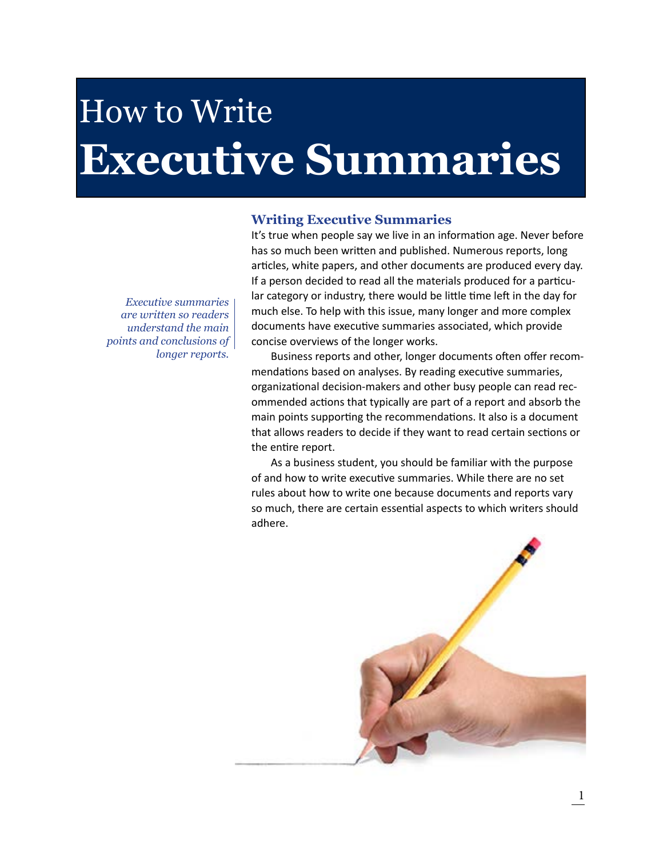# How to Write **Executive Summaries**

#### **Writing Executive Summaries**

It's true when people say we live in an information age. Never before has so much been written and published. Numerous reports, long articles, white papers, and other documents are produced every day. If a person decided to read all the materials produced for a particular category or industry, there would be little time left in the day for much else. To help with this issue, many longer and more complex documents have executive summaries associated, which provide concise overviews of the longer works.

Business reports and other, longer documents often offer recommendations based on analyses. By reading executive summaries, organizational decision-makers and other busy people can read recommended actions that typically are part of a report and absorb the main points supporting the recommendations. It also is a document that allows readers to decide if they want to read certain sections or the entire report.

As a business student, you should be familiar with the purpose of and how to write executive summaries. While there are no set rules about how to write one because documents and reports vary so much, there are certain essential aspects to which writers should adhere.



*Executive summaries are written so readers understand the main points and conclusions of longer reports.*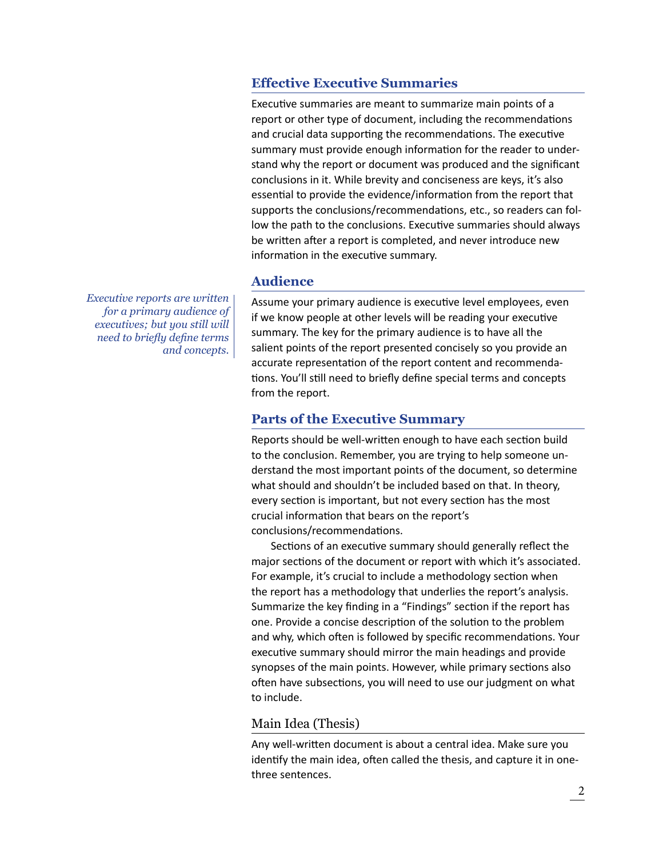### **Effective Executive Summaries**

Executive summaries are meant to summarize main points of a report or other type of document, including the recommendations and crucial data supporting the recommendations. The executive summary must provide enough information for the reader to understand why the report or document was produced and the significant conclusions in it. While brevity and conciseness are keys, it's also essential to provide the evidence/information from the report that supports the conclusions/recommendations, etc., so readers can follow the path to the conclusions. Executive summaries should always be written after a report is completed, and never introduce new information in the executive summary.

## **Audience**

Assume your primary audience is executive level employees, even if we know people at other levels will be reading your executive summary. The key for the primary audience is to have all the salient points of the report presented concisely so you provide an accurate representation of the report content and recommendations. You'll still need to briefly define special terms and concepts from the report.

#### **Parts of the Executive Summary**

Reports should be well-written enough to have each section build to the conclusion. Remember, you are trying to help someone understand the most important points of the document, so determine what should and shouldn't be included based on that. In theory, every section is important, but not every section has the most crucial information that bears on the report's conclusions/recommendations.

Sections of an executive summary should generally reflect the major sections of the document or report with which it's associated. For example, it's crucial to include a methodology section when the report has a methodology that underlies the report's analysis. Summarize the key finding in a "Findings" section if the report has one. Provide a concise description of the solution to the problem and why, which often is followed by specific recommendations. Your executive summary should mirror the main headings and provide synopses of the main points. However, while primary sections also often have subsections, you will need to use our judgment on what to include.

### Main Idea (Thesis)

Any well-written document is about a central idea. Make sure you identify the main idea, often called the thesis, and capture it in onethree sentences.

*Executive reports are written for a primary audience of executives; but you still will need to briefly define terms and concepts.*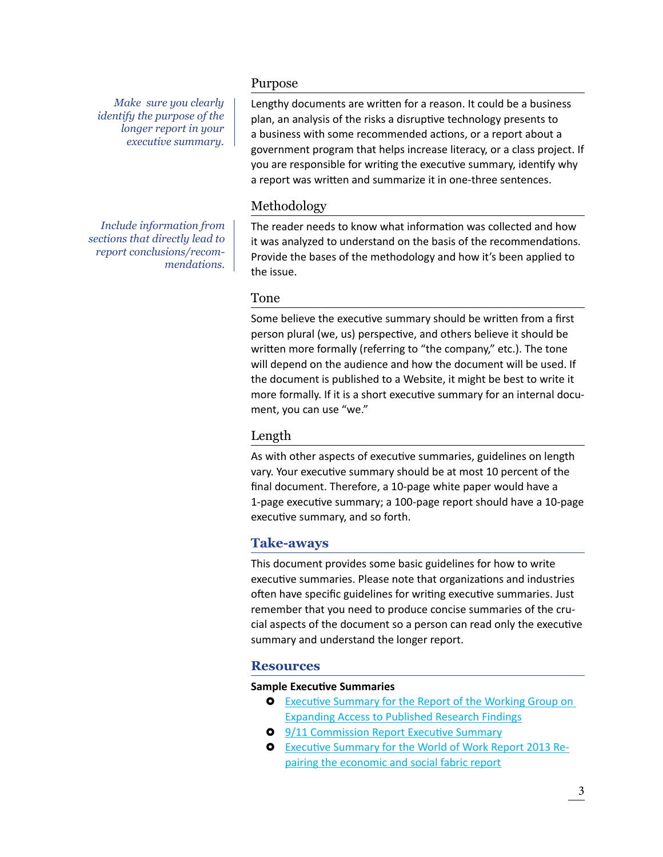*Make sure you clearly identify the purpose of the longer report in your executive summary.*

*Include information from sections that directly lead to report conclusions/recommendations.* 

#### Purpose

Lengthy documents are written for a reason. It could be a business plan, an analysis of the risks a disruptive technology presents to a business with some recommended actions, or a report about a government program that helps increase literacy, or a class project. If you are responsible for writing the executive summary, identify why a report was written and summarize it in one-three sentences.

#### Methodology

The reader needs to know what information was collected and how it was analyzed to understand on the basis of the recommendations. Provide the bases of the methodology and how it's been applied to the issue.

#### Tone

Some believe the executive summary should be written from a first person plural (we, us) perspective, and others believe it should be written more formally (referring to "the company," etc.). The tone will depend on the audience and how the document will be used. If the document is published to a Website, it might be best to write it more formally. If it is a short executive summary for an internal document, you can use "we."

### Length

As with other aspects of executive summaries, guidelines on length vary. Your executive summary should be at most 10 percent of the final document. Therefore, a 10-page white paper would have a 1-page executive summary; a 100-page report should have a 10-page executive summary, and so forth.

### **Take-aways**

This document provides some basic guidelines for how to write executive summaries. Please note that organizations and industries often have specific guidelines for writing executive summaries. Just remember that you need to produce concise summaries of the crucial aspects of the document so a person can read only the executive summary and understand the longer report.

#### **Resources**

#### **Sample Executive Summaries**

- **Executive Summary for the Report of the Working Group on** [Expanding Access to Published Research Findings](http://www.researchinfonet.org/wp-content/uploads/2012/06/Finch-Group-report-executive-summary-FINAL-VERSION.pdf)
- **[9/11 Commission Report Executive Summary](http://govinfo.library.unt.edu/911/report/911Report_Exec.pdf)**
- **[Executive Summary for the World of Work Report 2013 Re](http://www.ilo.org/wcmsp5/groups/public/---dgreports/---dcomm/documents/publication/wcms_214673.pdf)**[pairing the economic and social fabric report](http://www.ilo.org/wcmsp5/groups/public/---dgreports/---dcomm/documents/publication/wcms_214673.pdf)